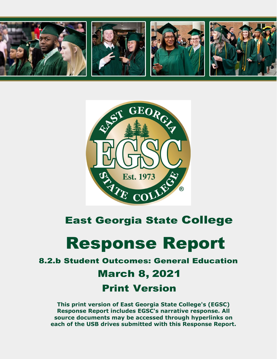



## East Georgia State College

# Response Report

### 8.2.b Student Outcomes: General Education

## March 8, 2021

## Print Version

**This print version of East Georgia State College's (EGSC) Response Report includes EGSC's narrative response. All source documents may be accessed through hyperlinks on each of the USB drives submitted with this Response Report.**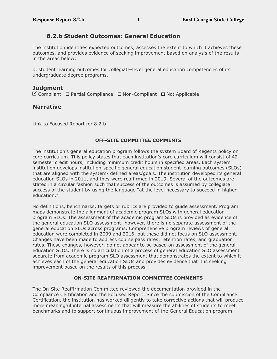#### **8.2.b Student Outcomes: General Education**

The institution identifies expected outcomes, assesses the extent to which it achieves these outcomes, and provides evidence of seeking improvement based on analysis of the results in the areas below:

b. student learning outcomes for collegiate-level general education competencies of its undergraduate degree programs.

#### **Judgment**

 $\boxtimes$  Compliant  $\Box$  Partial Compliance  $\Box$  Non-Compliant  $\Box$  Not Applicable

#### **Narrative**

Link to Focused Report for 8.2.b

#### **OFF-SITE COMMITTEE COMMENTS**

The institution's general education program follows the system Board of Regents policy on core curriculum. This policy states that each institution's core curriculum will consist of 42 semester credit hours, including minimum credit hours in specified areas. Each system institution develops institution-specific general education student learning outcomes (SLOs) that are aligned with the system- defined areas/goals. The institution developed its general education SLOs in 2011, and they were reaffirmed in 2019. Several of the outcomes are stated in a circular fashion such that success of the outcomes is assumed by collegiate success of the student by using the language "at the level necessary to succeed in higher education."

No definitions, benchmarks, targets or rubrics are provided to guide assessment. Program maps demonstrate the alignment of academic program SLOs with general education program SLOs. The assessment of the academic program SLOs is provided as evidence of the general education SLO assessment; however, there is no separate assessment of the general education SLOs across programs. Comprehensive program reviews of general education were completed in 2009 and 2016, but these did not focus on SLO assessment. Changes have been made to address course pass rates, retention rates, and graduation rates. These changes, however, do not appear to be based on assessment of the general education SLOs. There is no articulation of a process of general education SLO assessment separate from academic program SLO assessment that demonstrates the extent to which it achieves each of the general education SLOs and provides evidence that it is seeking improvement based on the results of this process.

#### **ON-SITE REAFFIRMATION COMMITTEE COMMENTS**

The On-Site Reaffirmation Committee reviewed the documentation provided in the Compliance Certification and the Focused Report. Since the submission of the Compliance Certification, the institution has worked diligently to take corrective actions that will produce more meaningful internal assessments that will measure the abilities of students to meet benchmarks and to support continuous improvement of the General Education program.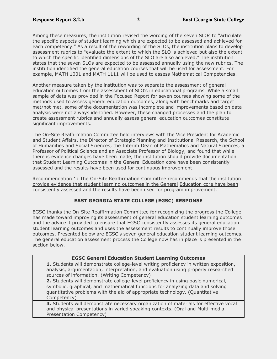Among these measures, the institution revised the wording of the seven SLOs to "articulate the specific aspects of student learning which are expected to be assessed and achieved for each competency." As a result of the rewording of the SLOs, the institution plans to develop assessment rubrics to "evaluate the extent to which the SLO is achieved but also the extent to which the specific identified dimensions of the SLO are also achieved." The institution states that the seven SLOs are expected to be assessed annually using the new rubrics. The institution identified the general education courses that will be used for assessment. For example, MATH 1001 and MATH 1111 will be used to assess Mathematical Competencies.

Another measure taken by the institution was to separate the assessment of general education outcomes from the assessment of SLO's in educational programs. While a small sample of data was provided in the Focused Report for seven courses showing some of the methods used to assess general education outcomes, along with benchmarks and target met/not met, some of the documentation was incomplete and improvements based on data analysis were not always identified. However, these changed processes and the plan to create assessment rubrics and annually assess general education outcomes constitute significant improvements.

The On-Site Reaffirmation Committee held interviews with the Vice President for Academic and Student Affairs, the Director of Strategic Planning and Institutional Research, the School of Humanities and Social Sciences, the Interim Dean of Mathematics and Natural Sciences, a Professor of Political Science and an Associate Professor of Biology, and found that while there is evidence changes have been made, the institution should provide documentation that Student Learning Outcomes in the General Education core have been consistently assessed and the results have been used for continuous improvement.

Recommendation 1: The On-Site Reaffirmation Committee recommends that the institution provide evidence that student learning outcomes in the General Education core have been consistently assessed and the results have been used for program improvement.

#### **EAST GEORGIA STATE COLLEGE (EGSC) RESPONSE**

EGSC thanks the On-Site Reaffirmation Committee for recognizing the progress the College has made toward improving its assessment of general education student learning outcomes and the advice it provided to ensure that EGSC consistently assesses its general education student learning outcomes and uses the assessment results to continually improve those outcomes. Presented below are EGSC's seven general education student learning outcomes. The general education assessment process the College now has in place is presented in the section below.

| <b>EGSC General Education Student Learning Outcomes</b>                                                                                                                                                                                                          |  |  |  |
|------------------------------------------------------------------------------------------------------------------------------------------------------------------------------------------------------------------------------------------------------------------|--|--|--|
| 1. Students will demonstrate college-level writing proficiency in written exposition,<br>analysis, argumentation, interpretation, and evaluation using properly researched<br>sources of information. (Writing Competency)                                       |  |  |  |
| 2. Students will demonstrate college-level proficiency in using basic numerical,<br>symbolic, graphical, and mathematical functions for analyzing data and solving<br>quantitative problems with the aid of appropriate technology. (Quantitative<br>Competency) |  |  |  |
| 3. Students will demonstrate necessary organization of materials for effective vocal<br>and physical presentations in varied speaking contexts. (Oral and Multi-media<br>Presentation Competency)                                                                |  |  |  |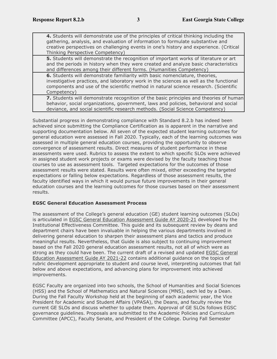**4.** Students will demonstrate use of the principles of critical thinking including the gathering, analysis, and evaluation of information to formulate substantive and creative perspectives on challenging events in one's history and experience. (Critical Thinking Perspective Competency)

**5.** Students will demonstrate the recognition of important works of literature or art and the periods in history when they were created and analyze basic characteristics and differences among their different forms. (Humanities Competency)

**6.** Students will demonstrate familiarity with basic nomenclature, theories, investigative practices, and laboratory work in the sciences as well as the functional components and use of the scientific method in natural science research. (Scientific Competency)

**7.** Students will demonstrate recognition of the basic principles and theories of human behavior, social organizations, government, laws and policies, behavioral and social deviance, and social scientific research methods. (Social Science Competency)

Substantial progress in demonstrating compliance with Standard 8.2.b has indeed been achieved since submitting the Compliance Certification as is apparent in the narrative and supporting documentation below. All seven of the expected student learning outcomes for general education were assessed in Fall 2020. Typically, each of the learning outcomes was assessed in multiple general education courses, providing the opportunity to observe convergence of assessment results. Direct measures of student performance in these assessments were used. Rubrics to assess the extent to which specific SLOs were achieved in assigned student work projects or exams were devised by the faculty teaching those courses to use as assessment tools. Targeted expectations for the outcomes of those assessment results were stated. Results were often mixed, either exceeding the targeted expectations or falling below expectations. Regardless of those assessment results, the faculty identified ways in which it would pursue future improvements in their general education courses and the learning outcomes for those courses based on their assessment results.

#### **EGSC General Education Assessment Process**

The assessment of the College's general education (GE) student learning outcomes (SLOs) is articulated in EGSC General Education Assessment Guide AY 2020-21 developed by the Institutional Effectiveness Committee. This guide and its subsequent review by deans and department chairs have been invaluable in helping the various departments involved in delivering general education to sharpen their assessment plans and tactics and produce meaningful results. Nevertheless, that Guide is also subject to continuing improvement based on the Fall 2020 general education assessment results, not all of which were as strong as they could have been. The current draft of a revised and updated EGSC General Education Assessment Guide AY 2021-22 contains additional guidance on the topics of rubric development appropriate to student and course level, interpreting outcomes that fall below and above expectations, and advancing plans for improvement into achieved improvements.

EGSC Faculty are organized into two schools, the School of Humanities and Social Sciences (HSS) and the School of Mathematics and Natural Sciences (MNS), each led by a Dean. During the Fall Faculty Workshop held at the beginning of each academic year, the Vice President for Academic and Student Affairs (VPASA), the Deans, and faculty review the current GE SLOs and discuss whether to update them. Approval of GE SLOs follows EGSC governance guidelines. Proposals are submitted to the Academic Policies and Curriculum Committee (APCC), Faculty Senate, and President of the College. During Fall Semester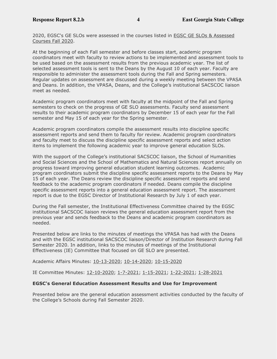2020, EGSC's GE SLOs were assessed in the courses listed in EGSC GE SLOs & Assessed Courses Fall 2020.

At the beginning of each Fall semester and before classes start, academic program coordinators meet with faculty to review actions to be implemented and assessment tools to be used based on the assessment results from the previous academic year. The list of selected assessment tools is sent to the Deans by the August 10 of each year. Faculty are responsible to administer the assessment tools during the Fall and Spring semesters. Regular updates on assessment are discussed during a weekly meeting between the VPASA and Deans. In addition, the VPASA, Deans, and the College's institutional SACSCOC liaison meet as needed.

Academic program coordinators meet with faculty at the midpoint of the Fall and Spring semesters to check on the progress of GE SLO assessments. Faculty send assessment results to their academic program coordinators by December 15 of each year for the Fall semester and May 15 of each year for the Spring semester.

Academic program coordinators compile the assessment results into discipline specific assessment reports and send them to faculty for review. Academic program coordinators and faculty meet to discuss the discipline specific assessment reports and select action items to implement the following academic year to improve general education SLOs.

With the support of the College's institutional SACSCOC liaison, the School of Humanities and Social Sciences and the School of Mathematics and Natural Sciences report annually on progress toward improving general education student learning outcomes. Academic program coordinators submit the discipline specific assessment reports to the Deans by May 15 of each year. The Deans review the discipline specific assessment reports and send feedback to the academic program coordinators if needed. Deans compile the discipline specific assessment reports into a general education assessment report. The assessment report is due to the EGSC Director of Institutional Research by July 1 of each year.

During the Fall semester, the Institutional Effectiveness Committee chaired by the EGSC institutional SACSCOC liaison reviews the general education assessment report from the previous year and sends feedback to the Deans and academic program coordinators as needed.

Presented below are links to the minutes of meetings the VPASA has had with the Deans and with the EGSC institutional SACSCOC liaison/Director of Institution Research during Fall Semester 2020. In addition, links to the minutes of meetings of the Institutional Effectiveness (IE) Committee that focused on GE SLO are presented.

Academic Affairs Minutes: 10-13-2020; 10-14-2020; 10-15-2020

IE Committee Minutes: 12-10-2020; 1-7-2021; 1-15-2021; 1-22-2021; 1-28-2021

#### **EGSC's General Education Assessment Results and Use for Improvement**

Presented below are the general education assessment activities conducted by the faculty of the College's Schools during Fall Semester 2020.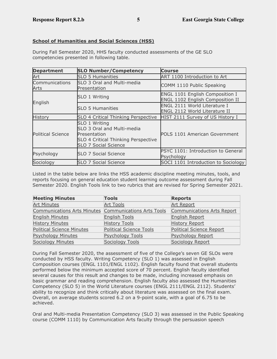#### **School of Humanities and Social Sciences (HSS)**

During Fall Semester 2020, HHS faculty conducted assessments of the GE SLO competencies presented in following table.

| <b>Department</b>        | <b>SLO Number/Competency</b>                                                                                               | <b>Course</b>                                                                     |  |
|--------------------------|----------------------------------------------------------------------------------------------------------------------------|-----------------------------------------------------------------------------------|--|
| Art                      | <b>SLO 5 Humanities</b>                                                                                                    | ART 1100 Introduction to Art                                                      |  |
| Communications<br>Arts   | SLO 3 Oral and Multi-media<br>Presentation                                                                                 | COMM 1110 Public Speaking                                                         |  |
| English                  | SLO 1 Writing                                                                                                              | <b>ENGL 1101 English Composition I</b><br><b>ENGL 1102 English Composition II</b> |  |
|                          | <b>SLO 5 Humanities</b>                                                                                                    | ENGL 2111 World Literature I<br>ENGL 2112 World Literature II                     |  |
| <b>History</b>           | SLO 4 Critical Thinking Perspective                                                                                        | HIST 2111 Survey of US History I                                                  |  |
| <b>Political Science</b> | SLO 1 Writing<br>SLO 3 Oral and Multi-media<br>Presentation<br>SLO 4 Critical Thinking Perspective<br>SLO 7 Social Science | POLS 1101 American Government                                                     |  |
| Psychology               | SLO 7 Social Science                                                                                                       | PSYC 1101: Introduction to General<br>Psychology                                  |  |
| Sociology                | SLO 7 Social Science                                                                                                       | SOCI 1101 Introduction to Sociology                                               |  |

Listed in the table below are links the HSS academic discipline meeting minutes, tools, and reports focusing on general education student learning outcome assessment during Fall Semester 2020. English Tools link to two rubrics that are revised for Spring Semester 2021.

| <b>Meeting Minutes</b>                                | <b>Tools</b>            | <b>Reports</b>                    |
|-------------------------------------------------------|-------------------------|-----------------------------------|
| <b>Art Minutes</b>                                    | <b>Art Tools</b>        | <b>Art Report</b>                 |
| Communications Arts Minutes Communications Arts Tools |                         | <b>Communications Arts Report</b> |
| <b>English Minutes</b>                                | <b>English Tools</b>    | <b>English Report</b>             |
| <b>History Minutes</b>                                | <b>History Tools</b>    | <b>History Report</b>             |
| <b>Political Science Minutes</b>                      | Political Science Tools | Political Science Report          |
| <b>Psychology Minutes</b>                             | Psychology Tools        | Psychology Report                 |
| <b>Sociology Minutes</b>                              | <b>Sociology Tools</b>  | Sociology Report                  |

During Fall Semester 2020, the assessment of five of the College's seven GE SLOs were conducted by HSS faculty. Writing Competency (SLO 1) was assessed in English Composition courses (ENGL 1101/ENGL 1102). English faculty found that overall students performed below the minimum accepted score of 70 percent. English faculty identified several causes for this result and changes to be made, including increased emphasis on basic grammar and reading comprehension. English faculty also assessed the Humanities Competency (SLO 5) in the World Literature courses (ENGL 2111/ENGL 2112). Students' ability to recognize and think critically about literature was assessed on the final exam. Overall, on average students scored 6.2 on a 9-point scale, with a goal of 6.75 to be achieved.

Oral and Multi-media Presentation Competency (SLO 3) was assessed in the Public Speaking course (COMM 1110) by Communication Arts faculty through the persuasion speech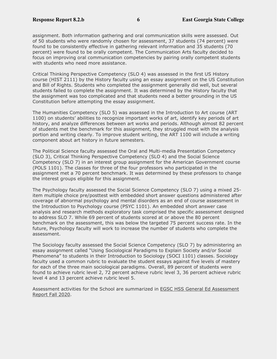assignment. Both information gathering and oral communication skills were assessed. Out of 50 students who were randomly chosen for assessment, 37 students (74 percent) were found to be consistently effective in gathering relevant information and 35 students (70 percent) were found to be orally competent. The Communication Arts faculty decided to focus on improving oral communication competencies by pairing orally competent students with students who need more assistance.

Critical Thinking Perspective Competency (SLO 4) was assessed in the first US History course (HIST 2111) by the History faculty using an essay assignment on the US Constitution and Bill of Rights. Students who completed the assignment generally did well, but several students failed to complete the assignment. It was determined by the History faculty that the assignment was too complicated and that students need a better grounding in the US Constitution before attempting the essay assignment.

The Humanities Competency (SLO 5) was assessed in the Introduction to Art course (ART 1100) on students' abilities to recognize important works of art, identify key periods of art history, and analyze differences between art works and periods. Although almost 82 percent of students met the benchmark for this assignment, they struggled most with the analysis portion and writing clearly. To improve student writing, the ART 1100 will include a writing component about art history in future semesters.

The Political Science faculty assessed the Oral and Multi-media Presentation Competency (SLO 3), Critical Thinking Perspective Competency (SLO 4) and the Social Science Competency (SLO 7) in an interest group assignment for the American Government course (POLS 1101). The classes for three of the four professors who participated in the assignment met a 70 percent benchmark. It was determined by these professors to change the interest groups eligible for this assignment.

The Psychology faculty assessed the Social Science Competency (SLO 7) using a mixed 25 item multiple choice pre/posttest with embedded short answer questions administered after coverage of abnormal psychology and mental disorders as an end of course assessment in the Introduction to Psychology course (PSYC 1101). An embedded short answer case analysis and research methods exploratory task comprised the specific assessment designed to address SLO 7. While 69 percent of students scored at or above the 80 percent benchmark on the assessment, this was below the targeted 75 percent success rate. In the future, Psychology faculty will work to increase the number of students who complete the assessment.

The Sociology faculty assessed the Social Science Competency (SLO 7) by administering an essay assignment called "Using Sociological Paradigms to Explain Society and/or Social Phenomena" to students in their Introduction to Sociology (SOCI 1101) classes. Sociology faculty used a common rubric to evaluate the student essays against five levels of mastery for each of the three main sociological paradigms. Overall, 89 percent of students were found to achieve rubric level 2, 72 percent achieve rubric level 3, 36 percent achieve rubric level 4 and 13 percent achieve rubric level 5.

Assessment activities for the School are summarized in EGSC HSS General Ed Assessment Report Fall 2020.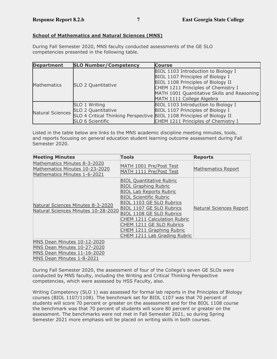#### **School of Mathematics and Natural Sciences (MNS)**

During Fall Semester 2020, MNS faculty conducted assessments of the GE SLO competencies presented in the following table.

| <b>Department</b>       | <b>SLO Number/Competency</b>                                           | <b>Course</b>                                                            |  |
|-------------------------|------------------------------------------------------------------------|--------------------------------------------------------------------------|--|
| <b>Mathematics</b>      | SLO 2 Quantitative                                                     | BIOL 1103 Introduction to Biology I<br>BIOL 1107 Principles of Biology I |  |
|                         |                                                                        | BIOL 1108 Principles of Biology II                                       |  |
|                         |                                                                        | CHEM 1211 Principles of Chemistry I                                      |  |
|                         |                                                                        | MATH 1001 Quantitative Skills and Reasoning                              |  |
|                         |                                                                        | MATH 1111 College Algebra                                                |  |
| <b>Natural Sciences</b> | SLO 1 Writing                                                          | BIOL 1103 Introduction to Biology I                                      |  |
|                         | SLO 2 Quantitative                                                     | BIOL 1107 Principles of Biology I                                        |  |
|                         | SLO 4 Critical Thinking Perspective BIOL 1108 Principles of Biology II |                                                                          |  |
|                         | SLO 6 Scientific                                                       | CHEM 1211 Principles of Chemistry I                                      |  |

Listed in the table below are links to the MNS academic discipline meeting minutes, tools, and reports focusing on general education student learning outcome assessment during Fall Semester 2020.

| <b>Meeting Minutes</b>                                                                         | <b>Tools</b>                                                                                                                                                                                                                                                                                                                                                               | <b>Reports</b>            |  |  |  |
|------------------------------------------------------------------------------------------------|----------------------------------------------------------------------------------------------------------------------------------------------------------------------------------------------------------------------------------------------------------------------------------------------------------------------------------------------------------------------------|---------------------------|--|--|--|
| Mathematics Minutes 8-3-2020<br>Mathematics Minutes 10-23-2020<br>Mathematics Minutes 1-6-2021 | MATH 1001 Pre/Post Test<br>MATH 1111 Pre/Post Test                                                                                                                                                                                                                                                                                                                         | <b>Mathematics Report</b> |  |  |  |
| Natural Sciences Minutes 8-3-2020<br>Natural Sciences Minutes 10-28-2020                       | <b>BIOL Quantitative Rubric</b><br><b>BIOL Graphing Rubric</b><br><b>BIOL Lab Reports Rubric</b><br><b>BIOL Scientific Rubric</b><br><b>BIOL 1103 GE SLO Rubrics</b><br><b>BIOL 1107 GE SLO Rubrics</b><br><b>BIOL 1108 GE SLO Rubrics</b><br>CHEM 1211 Calculation Rubric<br>CHEM 1211 GE SLO Rubrics<br><b>CHEM 1211 Graphing Rubric</b><br>CHEM 1211 Lab Grading Rubric | Natural Sciences Report   |  |  |  |
| MNS Dean Minutes 10-12-2020                                                                    |                                                                                                                                                                                                                                                                                                                                                                            |                           |  |  |  |
| MNS Dean Minutes 10-27-2020                                                                    |                                                                                                                                                                                                                                                                                                                                                                            |                           |  |  |  |
| MNS Dean Minutes 11-16-2020                                                                    |                                                                                                                                                                                                                                                                                                                                                                            |                           |  |  |  |
| MNS Dean Minutes 1-8-2021                                                                      |                                                                                                                                                                                                                                                                                                                                                                            |                           |  |  |  |

During Fall Semester 2020, the assessment of four of the College's seven GE SLOs were conducted by MNS faculty, including the Writing and Critical Thinking Perspective competencies, which were assessed by HSS Faculty, also.

Writing Competency (SLO 1) was assessed for formal lab reports in the Principles of Biology courses (BIOL 1107/1108). The benchmark set for BIOL 1107 was that 70 percent of students will score 70 percent or greater on the assessment and for the BIOL 1108 course the benchmark was that 70 percent of students will score 80 percent or greater on the assessment. The benchmarks were not met in Fall Semester 2021, so during Spring Semester 2021 more emphasis will be placed on writing skills in both courses.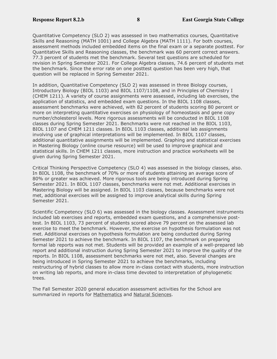Quantitative Competency (SLO 2) was assessed in two mathematics courses, Quantitative Skills and Reasoning (MATH 1001) and College Algebra (MATH 1111). For both courses, assessment methods included embedded items on the final exam or a separate posttest. For Quantitative Skills and Reasoning classes, the benchmark was 60 percent correct answers. 77.3 percent of students met the benchmark. Several test questions are scheduled for revision in Spring Semester 2021. For College Algebra classes, 74.6 percent of students met the benchmark. Since the error rate on one posttest question has been very high, that question will be replaced in Spring Semester 2021.

In addition, Quantitative Competency (SLO 2) was assessed in three Biology courses, Introductory Biology (BIOL 1103) and BIOL 1107/1108, and in Principles of Chemistry I (CHEM 1211). A variety of course assignments were assessed, including lab exercises, the application of statistics, and embedded exam questions. In the BIOL 1108 classes, assessment benchmarks were achieved, with 82 percent of students scoring 80 percent or more on interpreting quantitative exercises on physiology of homeostasis and gene copy number/cholesterol levels. More rigorous assessments will be conducted in BIOL 1108 classes during Spring Semester 2021. Benchmarks were not reached in the BIOL 1103, BIOL 1107 and CHEM 1211 classes. In BIOL 1103 classes, additional lab assignments involving use of graphical interpretations will be implemented. In BIOL 1107 classes, additional quantitative assignments will be implemented. Graphing and statistical exercises in Mastering Biology (online course resource) will be used to improve graphical and statistical skills. In CHEM 1211 classes, more instruction and practice worksheets will be given during Spring Semester 2021.

Critical Thinking Perspective Competency (SLO 4) was assessed in the biology classes, also. In BIOL 1108, the benchmark of 70% or more of students attaining an average score of 80% or greater was achieved. More rigorous tools are being introduced during Spring Semester 2021. In BIOL 1107 classes, benchmarks were not met. Additional exercises in Mastering Biology will be assigned. In BIOL 1103 classes, because benchmarks were not met, additional exercises will be assigned to improve analytical skills during Spring Semester 2021.

Scientific Competency (SLO 6) was assessed in the biology classes. Assessment instruments included lab exercises and reports, embedded exam questions, and a comprehensive posttest. In BIOL 1103, 73 percent of students scored above 79 percent on the assessed lab exercise to meet the benchmark. However, the exercise on hypothesis formulation was not met. Additional exercises on hypothesis formulation are being conducted during Spring Semester 2021 to achieve the benchmark. In BIOL 1107, the benchmark on preparing formal lab reports was not met. Students will be provided an example of a well-prepared lab report and additional instruction during Spring Semester 2021 to improve the quality of the reports. In BIOL 1108, assessment benchmarks were not met, also. Several changes are being introduced in Spring Semester 2021 to achieve the benchmarks, including restructuring of hybrid classes to allow more in-class contact with students, more instruction on writing lab reports, and more in-class time devoted to interpretation of phylogenetic trees.

The Fall Semester 2020 general education assessment activities for the School are summarized in reports for Mathematics and Natural Sciences.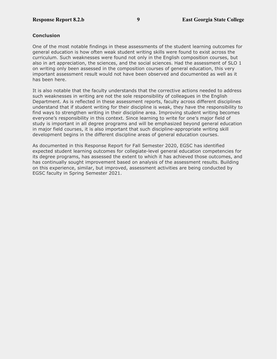#### **Conclusion**

One of the most notable findings in these assessments of the student learning outcomes for general education is how often weak student writing skills were found to exist across the curriculum. Such weaknesses were found not only in the English composition courses, but also in art appreciation, the sciences, and the social sciences. Had the assessment of SLO 1 on writing only been assessed in the composition courses of general education, this very important assessment result would not have been observed and documented as well as it has been here.

It is also notable that the faculty understands that the corrective actions needed to address such weaknesses in writing are not the sole responsibility of colleagues in the English Department. As is reflected in these assessment reports, faculty across different disciplines understand that if student writing for their discipline is weak, they have the responsibility to find ways to strengthen writing in their discipline area. Improving student writing becomes everyone's responsibility in this context. Since learning to write for one's major field of study is important in all degree programs and will be emphasized beyond general education in major field courses, it is also important that such discipline-appropriate writing skill development begins in the different discipline areas of general education courses.

As documented in this Response Report for Fall Semester 2020, EGSC has identified expected student learning outcomes for collegiate-level general education competencies for its degree programs, has assessed the extent to which it has achieved those outcomes, and has continually sought improvement based on analysis of the assessment results. Building on this experience, similar, but improved, assessment activities are being conducted by EGSC faculty in Spring Semester 2021.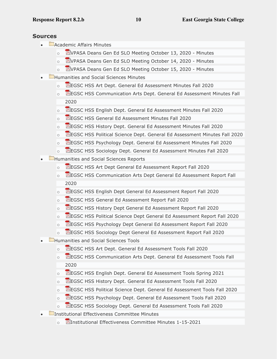#### **Sources**

- **Academic Affairs Minutes** 
	- o **AVPASA Deans Gen Ed SLO Meeting October 13, 2020 Minutes**
	- o **AVPASA Deans Gen Ed SLO Meeting October 14, 2020 Minutes**
	- o **AVPASA Deans Gen Ed SLO Meeting October 15, 2020 Minutes**
- **Humanities and Social Sciences Minutes** 
	- o **E**EGSC HSS Art Dept. General Ed Assessment Minutes Fall 2020
	- o **E**EGSC HSS Communication Arts Dept. General Ed Assessment Minutes Fall 2020
	- **E**EGSC HSS English Dept. General Ed Assessment Minutes Fall 2020
	- o **E**EGSC HSS General Ed Assessment Minutes Fall 2020
	- **EGSC HSS History Dept. General Ed Assessment Minutes Fall 2020**
	- o **E**EGSC HSS Political Science Dept. General Ed Assessment Minutes Fall 2020
	- **E**EGSC HSS Psychology Dept. General Ed Assessment Minutes Fall 2020
	- **E**EGSC HSS Sociology Dept. General Ed Assessment Minutes Fall 2020
- **Humanities and Social Sciences Reports** 
	- **E**EGSC HSS Art Dept General Ed Assessment Report Fall 2020
	- o **E**EGSC HSS Communication Arts Dept General Ed Assessment Report Fall 2020
	- o **E**EGSC HSS English Dept General Ed Assessment Report Fall 2020
	- o **E**EGSC HSS General Ed Assessment Report Fall 2020
	- **EGSC HSS History Dept General Ed Assessment Report Fall 2020**
	- **EGSC HSS Political Science Dept General Ed Assessment Report Fall 2020**
	- o **E**EGSC HSS Psychology Dept General Ed Assessment Report Fall 2020
	- o **E**EGSC HSS Sociology Dept General Ed Assessment Report Fall 2020
- **Humanities and Social Sciences Tools** 
	- o EGSC HSS Art Dept. General Ed Assessment Tools Fall 2020
	- o **E**EGSC HSS Communication Arts Dept. General Ed Assessment Tools Fall 2020
	- o **E**EGSC HSS English Dept. General Ed Assessment Tools Spring 2021
	- **E**EGSC HSS History Dept. General Ed Assessment Tools Fall 2020
	- o **E**EGSC HSS Political Science Dept. General Ed Assessment Tools Fall 2020
	- o **E**EGSC HSS Psychology Dept. General Ed Assessment Tools Fall 2020
	- **E**EGSC HSS Sociology Dept. General Ed Assessment Tools Fall 2020
- Institutional Effectiveness Committee Minutes
	- o **Institutional Effectiveness Committee Minutes 1-15-2021**